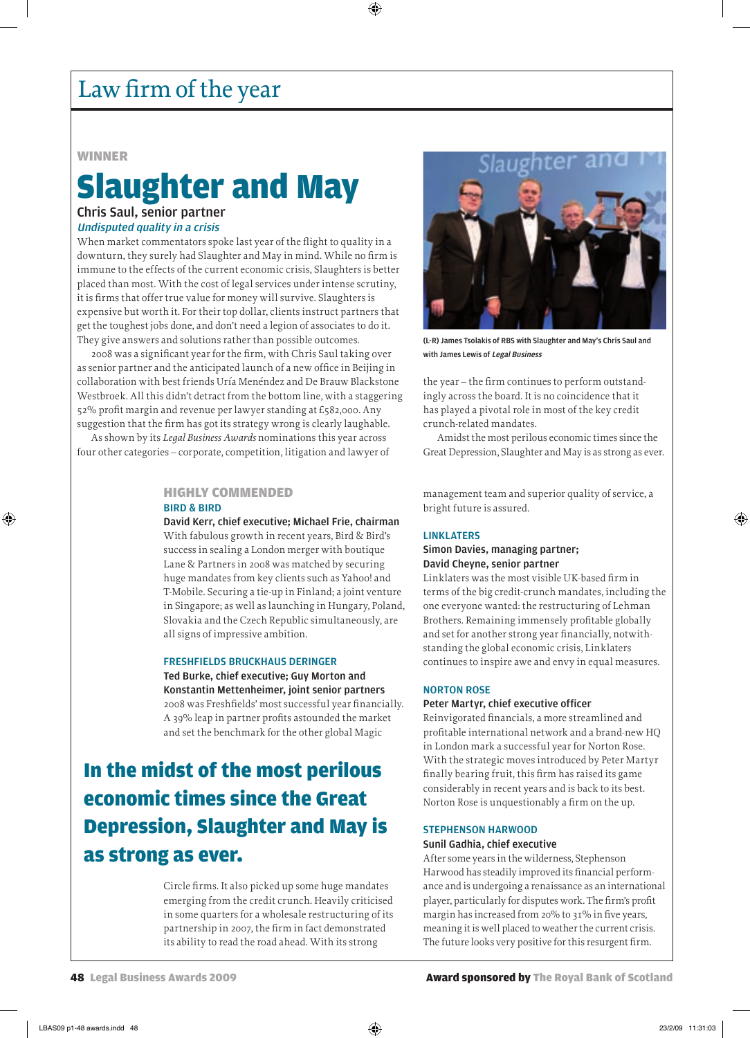# Law firm of the year

#### **WINNER**

## Slaughter and May Chris Saul, senior partner

### Undisputed quality in a crisis

When market commentators spoke last year of the flight to quality in a downturn, they surely had Slaughter and May in mind. While no firm is immune to the effects of the current economic crisis, Slaughters is better placed than most. With the cost of legal services under intense scrutiny, it is firms that offer true value for money will survive. Slaughters is expensive but worth it. For their top dollar, clients instruct partners that get the toughest jobs done, and don't need a legion of associates to do it. They give answers and solutions rather than possible outcomes.

2008 was a significant year for the firm, with Chris Saul taking over as senior partner and the anticipated launch of a new office in Beijing in collaboration with best friends Uría Menéndez and De Brauw Blackstone Westbroek. All this didn't detract from the bottom line, with a staggering 52% profit margin and revenue per lawyer standing at £582,000. Any suggestion that the firm has got its strategy wrong is clearly laughable.

As shown by its *Legal Business Awards* nominations this year across four other categories – corporate, competition, litigation and lawyer of

#### highly commended

#### BIRD & BIRD

David Kerr, chief executive; Michael Frie, chairman

With fabulous growth in recent years, Bird & Bird's success in sealing a London merger with boutique Lane & Partners in 2008 was matched by securing huge mandates from key clients such as Yahoo! and T-Mobile. Securing a tie-up in Finland; a joint venture in Singapore; as well as launching in Hungary, Poland, Slovakia and the Czech Republic simultaneously, are all signs of impressive ambition.

#### FRESHFIELDS BRUCKHAUS DERINGER Ted Burke, chief executive; Guy Morton and

Konstantin Mettenheimer, joint senior partners 2008 was Freshfields' most successful year financially. A 39% leap in partner profits astounded the market and set the benchmark for the other global Magic

# In the midst of the most perilous economic times since the Great Depression, Slaughter and May is as strong as ever.

Circle firms. It also picked up some huge mandates emerging from the credit crunch. Heavily criticised in some quarters for a wholesale restructuring of its partnership in 2007, the firm in fact demonstrated its ability to read the road ahead. With its strong



(L-R) James Tsolakis of RBS with Slaughter and May's Chris Saul and with James Lewis of Legal Business

the year – the firm continues to perform outstandingly across the board. It is no coincidence that it has played a pivotal role in most of the key credit crunch-related mandates.

Amidst the most perilous economic times since the Great Depression, Slaughter and May is as strong as ever.

management team and superior quality of service, a bright future is assured.

#### LINKLATERS

#### Simon Davies, managing partner; David Cheyne, senior partner

Linklaters was the most visible UK-based firm in terms of the big credit-crunch mandates, including the one everyone wanted: the restructuring of Lehman Brothers. Remaining immensely profitable globally and set for another strong year financially, notwithstanding the global economic crisis, Linklaters continues to inspire awe and envy in equal measures.

#### NORTON ROSE

#### Peter Martyr, chief executive officer

Reinvigorated financials, a more streamlined and profitable international network and a brand-new HQ in London mark a successful year for Norton Rose. With the strategic moves introduced by Peter Martyr finally bearing fruit, this firm has raised its game considerably in recent years and is back to its best. Norton Rose is unquestionably a firm on the up.

### STEPHENSON HARWOOD

#### Sunil Gadhia, chief executive

After some years in the wilderness, Stephenson Harwood has steadily improved its financial performance and is undergoing a renaissance as an international player, particularly for disputes work. The firm's profit margin has increased from 20% to 31% in five years, meaning it is well placed to weather the current crisis. The future looks very positive for this resurgent firm.